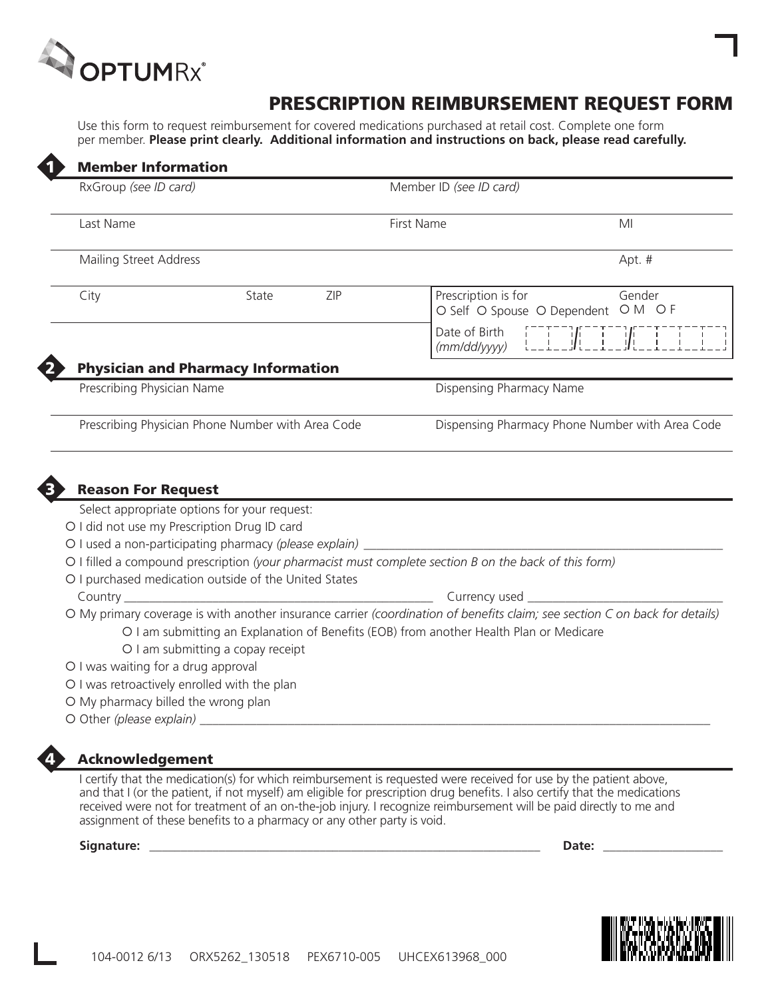

 $\blacktriangle$ 

# PRESCRIPTION REIMBURSEMENT REQUEST FORM

Use this form to request reimbursement for covered medications purchased at retail cost. Complete one form per member. **Please print clearly. Additional information and instructions on back, please read carefully.**

| RxGroup (see ID card)                                                                                                                                              |                                                          |     | Member ID (see ID card)                                                                                                     |                                                 |
|--------------------------------------------------------------------------------------------------------------------------------------------------------------------|----------------------------------------------------------|-----|-----------------------------------------------------------------------------------------------------------------------------|-------------------------------------------------|
| Last Name                                                                                                                                                          |                                                          |     | First Name                                                                                                                  | MI                                              |
| Mailing Street Address                                                                                                                                             |                                                          |     |                                                                                                                             | Apt. #                                          |
| City                                                                                                                                                               | State                                                    | ZIP | Prescription is for<br>O Self O Spouse O Dependent O M O F                                                                  | Gender                                          |
|                                                                                                                                                                    |                                                          |     | Date of Birth<br>(mm/dd/yyyy)                                                                                               |                                                 |
|                                                                                                                                                                    | <b>Physician and Pharmacy Information</b>                |     |                                                                                                                             |                                                 |
| Prescribing Physician Name                                                                                                                                         |                                                          |     | Dispensing Pharmacy Name                                                                                                    |                                                 |
|                                                                                                                                                                    |                                                          |     |                                                                                                                             |                                                 |
| <b>Reason For Request</b>                                                                                                                                          | Prescribing Physician Phone Number with Area Code        |     |                                                                                                                             | Dispensing Pharmacy Phone Number with Area Code |
|                                                                                                                                                                    | Select appropriate options for your request:             |     |                                                                                                                             |                                                 |
|                                                                                                                                                                    | O I did not use my Prescription Drug ID card             |     |                                                                                                                             |                                                 |
|                                                                                                                                                                    | O I used a non-participating pharmacy (please explain) _ |     |                                                                                                                             |                                                 |
|                                                                                                                                                                    | O I purchased medication outside of the United States    |     | O I filled a compound prescription (your pharmacist must complete section B on the back of this form)                       |                                                 |
| Country ______                                                                                                                                                     |                                                          |     | Currency used ______                                                                                                        |                                                 |
|                                                                                                                                                                    |                                                          |     | O My primary coverage is with another insurance carrier (coordination of benefits claim; see section C on back for details) |                                                 |
|                                                                                                                                                                    |                                                          |     | O I am submitting an Explanation of Benefits (EOB) from another Health Plan or Medicare                                     |                                                 |
|                                                                                                                                                                    | O I am submitting a copay receipt                        |     |                                                                                                                             |                                                 |
|                                                                                                                                                                    |                                                          |     |                                                                                                                             |                                                 |
|                                                                                                                                                                    |                                                          |     |                                                                                                                             |                                                 |
| O I was waiting for a drug approval<br>O I was retroactively enrolled with the plan<br>O My pharmacy billed the wrong plan<br>O Other (please explain) ___________ |                                                          |     |                                                                                                                             |                                                 |

I certify that the medication(s) for which reimbursement is requested were received for use by the patient above, and that I (or the patient, if not myself) am eligible for prescription drug benefits. I also certify that the medications received were not for treatment of an on-the-job injury. I recognize reimbursement will be paid directly to me and assignment of these benefits to a pharmacy or any other party is void.

**Signature: \_\_\_\_\_\_\_\_\_\_\_\_\_\_\_\_\_\_\_\_\_\_\_\_\_\_\_\_\_\_\_\_\_\_\_\_\_\_\_\_\_\_\_\_\_\_\_\_\_\_\_\_\_\_\_\_\_\_\_\_\_\_ Date: \_\_\_\_\_\_\_\_\_\_\_\_\_\_\_\_\_\_\_**